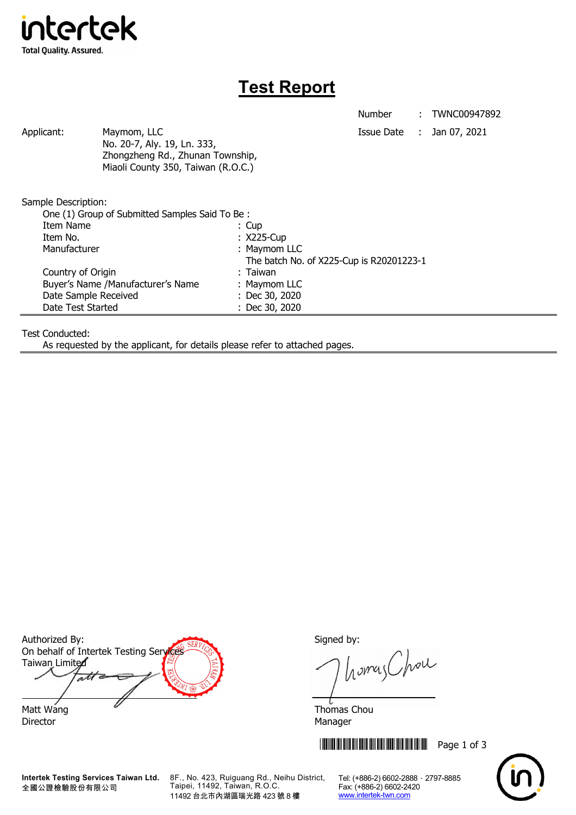

## **Test Report**

Number : TWNC00947892

Applicant: Maymom, LLC Maymon, LLC Applicant: Jan 07, 2021 No. 20-7, Aly. 19, Ln. 333, Zhongzheng Rd., Zhunan Township, Miaoli County 350, Taiwan (R.O.C.)

Sample Description:

| One (1) Group of Submitted Samples Said To Be: |                                   |  |                                          |
|------------------------------------------------|-----------------------------------|--|------------------------------------------|
| Item Name                                      |                                   |  | $: \cup$                                 |
| Item No.                                       |                                   |  | : X225-Cup                               |
| Manufacturer                                   |                                   |  | : Maymom LLC                             |
|                                                |                                   |  | The batch No. of X225-Cup is R20201223-1 |
|                                                | Country of Origin                 |  | : Taiwan                                 |
|                                                | Buyer's Name /Manufacturer's Name |  | : Maymom LLC                             |
|                                                | Date Sample Received              |  | : Dec 30, 2020                           |
|                                                | Date Test Started                 |  | : Dec 30, 2020                           |

Test Conducted:

As requested by the applicant, for details please refer to attached pages.

Authorized By: Signed by: On behalf of Intertek Testing Services Taiwan Limited  $\overline{\mathcal{A}}$ Matt Wang  $\sim$  Thomas Chou

Director Manager

**Intertek Testing Services Taiwan Ltd.** 全國公證檢驗股份有限公司

8F., No. 423, Ruiguang Rd., Neihu District, Taipei, 11492, Taiwan, R.O.C. 11492 台北市內湖區瑞光路 423 號 8 樓

homas Chou

**THEFT REFERENCE IN THE REFERENCE IN THE REFERENCE IN THE REFERENCE IN THE REFERENCE IN THE REFERENCE IN THE RE** 



Tel: (+886-2) 6602-2888 · 2797-8885 Fax: (+886-2) 6602-2420 www.intertek-twn.com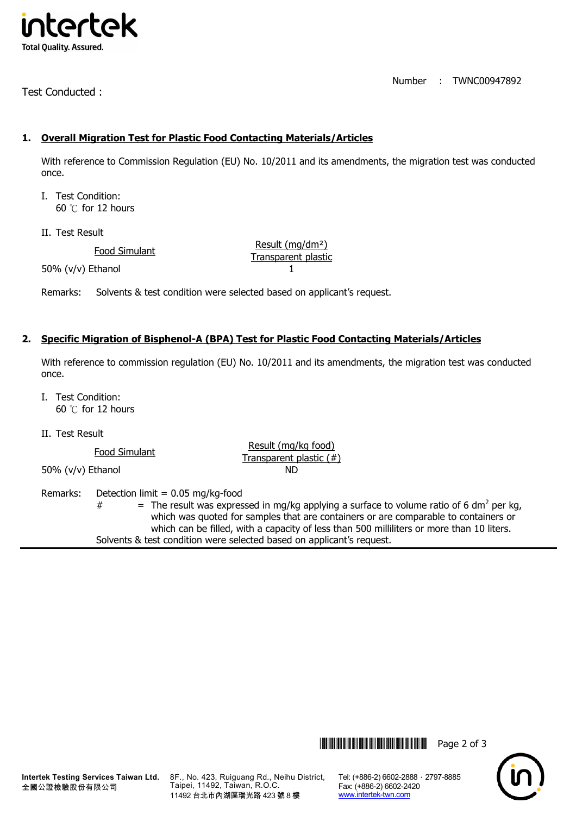

Test Conducted :

Number : TWNC00947892

## **1. Overall Migration Test for Plastic Food Contacting Materials/Articles**

With reference to Commission Regulation (EU) No. 10/2011 and its amendments, the migration test was conducted once.

- I. Test Condition: 60 ℃ for 12 hours
- II. Test Result

Food Simulant Food Simulant Result (mg/dm<sup>2</sup>) 50% (v/v) Ethanol 1

Remarks: Solvents & test condition were selected based on applicant's request.

## **2. Specific Migration of Bisphenol-A (BPA) Test for Plastic Food Contacting Materials/Articles**

With reference to commission regulation (EU) No. 10/2011 and its amendments, the migration test was conducted once.

- I. Test Condition: 60 ℃ for 12 hours
- II. Test Result

Food Simulant **Food Simulant** Result (mg/kg food)<br>Transparent plastic (#)

50% (v/v) Ethanol ND

Remarks: Detection limit =  $0.05$  mg/kg-food

 $#$  = The result was expressed in mg/kg applying a surface to volume ratio of 6 dm<sup>2</sup> per kg, which was quoted for samples that are containers or are comparable to containers or which can be filled, with a capacity of less than 500 milliliters or more than 10 liters. Solvents & test condition were selected based on applicant's request.



**Intertek Testing Services Taiwan Ltd.** 全國公證檢驗股份有限公司

8F., No. 423, Ruiguang Rd., Neihu District, Taipei, 11492, Taiwan, R.O.C. 11492 台北市內湖區瑞光路 423 號 8 樓

Tel: (+886-2) 6602-2888 · 2797-8885 Fax: (+886-2) 6602-2420 www.intertek-twn.com

**THEFT THEFT THEFT THEFT THEFT THEFT THEFT THEFT THEFT THEFT THEFT THEFT THEFT THEFT THEFT THEFT THEFT THEFT TH**